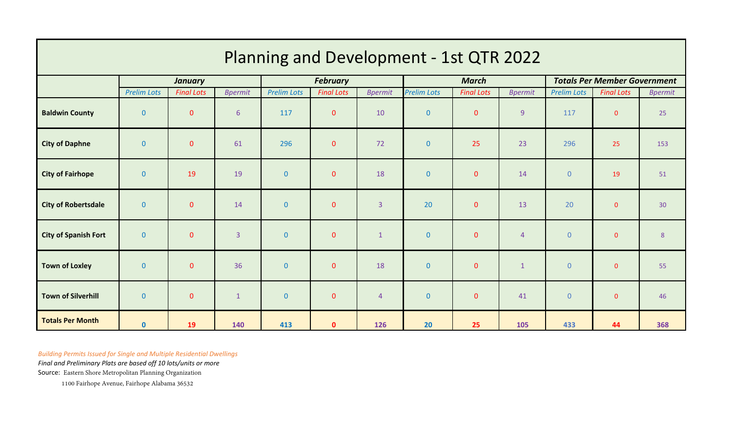| Planning and Development - 1st QTR 2022 |                    |                   |                |                    |                   |                |                    |                   |                |                                     |                   |                |
|-----------------------------------------|--------------------|-------------------|----------------|--------------------|-------------------|----------------|--------------------|-------------------|----------------|-------------------------------------|-------------------|----------------|
|                                         | <b>January</b>     |                   |                | <b>February</b>    |                   |                | <b>March</b>       |                   |                | <b>Totals Per Member Government</b> |                   |                |
|                                         | <b>Prelim Lots</b> | <b>Final Lots</b> | <b>Bpermit</b> | <b>Prelim Lots</b> | <b>Final Lots</b> | <b>Bpermit</b> | <b>Prelim Lots</b> | <b>Final Lots</b> | <b>Bpermit</b> | <b>Prelim Lots</b>                  | <b>Final Lots</b> | <b>Bpermit</b> |
| <b>Baldwin County</b>                   | $\mathbf{0}$       | $\mathbf{0}$      | 6              | 117                | $\mathbf{0}$      | 10             | $\mathbf{0}$       | $\mathbf 0$       | 9 <sup>°</sup> | 117                                 | $\mathbf{0}$      | 25             |
| <b>City of Daphne</b>                   | $\mathbf{0}$       | $\mathbf{0}$      | 61             | 296                | $\mathbf{0}$      | 72             | $\mathbf{0}$       | 25                | 23             | 296                                 | 25                | 153            |
| <b>City of Fairhope</b>                 | $\mathbf{0}$       | 19                | 19             | $\mathbf{0}$       | $\mathbf{0}$      | 18             | $\pmb{0}$          | $\pmb{0}$         | 14             | $\mathbf{0}$                        | 19                | 51             |
| <b>City of Robertsdale</b>              | $\mathbf{0}$       | $\mathbf{0}$      | 14             | $\mathbf{0}$       | $\mathbf{0}$      | $\overline{3}$ | 20                 | $\pmb{0}$         | 13             | 20                                  | $\mathbf 0$       | 30             |
| <b>City of Spanish Fort</b>             | $\mathbf{0}$       | $\mathbf{0}$      | $\overline{3}$ | $\mathbf{0}$       | $\mathbf{0}$      | $\mathbf{1}$   | $\pmb{0}$          | $\pmb{0}$         | $\overline{4}$ | $\mathbf{0}$                        | $\pmb{0}$         | $8\phantom{.}$ |
| <b>Town of Loxley</b>                   | $\mathbf{0}$       | $\mathbf{0}$      | 36             | $\mathbf{0}$       | $\mathbf{0}$      | 18             | $\pmb{0}$          | $\pmb{0}$         | $1\,$          | $\mathbf{0}$                        | $\mathbf 0$       | 55             |
| <b>Town of Silverhill</b>               | $\mathbf{0}$       | $\mathbf{0}$      | $\mathbf 1$    | $\mathbf{0}$       | $\mathbf{0}$      | $\overline{4}$ | $\pmb{0}$          | $\pmb{0}$         | 41             | $\mathbf{0}$                        | $\mathbf{0}$      | 46             |
| <b>Totals Per Month</b>                 | $\mathbf{0}$       | 19                | 140            | 413                | $\mathbf{0}$      | 126            | 20                 | 25                | 105            | 433                                 | 44                | 368            |

*Building Permits Issued for Single and Multiple Residential Dwellings*

*Final and Preliminary Plats are based off 10 lots/units or more*

Source: Eastern Shore Metropolitan Planning Organization

1100 Fairhope Avenue, Fairhope Alabama 36532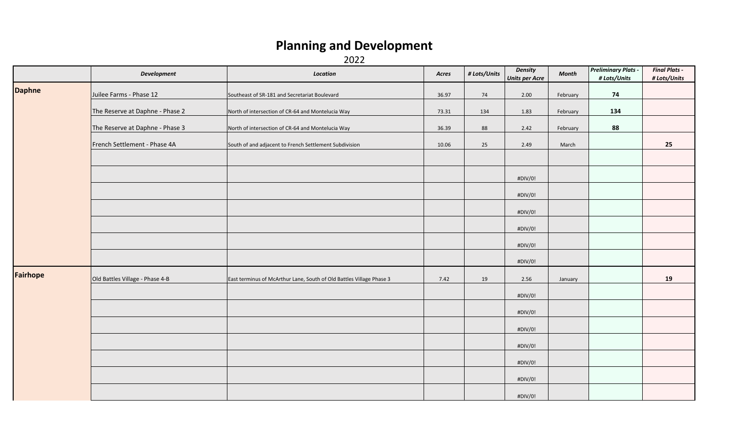## **Planning and Development**

2022

|                 | <b>Development</b>              | Location                                                             | Acres | # Lots/Units | <b>Density</b><br><b>Units per Acre</b> | <b>Month</b> | <b>Preliminary Plats -</b><br># Lots/Units | <b>Final Plats -</b><br># Lots/Units |
|-----------------|---------------------------------|----------------------------------------------------------------------|-------|--------------|-----------------------------------------|--------------|--------------------------------------------|--------------------------------------|
| <b>Daphne</b>   | Juilee Farms - Phase 12         | Southeast of SR-181 and Secretariat Boulevard                        | 36.97 | 74           | 2.00                                    | February     | 74                                         |                                      |
|                 | The Reserve at Daphne - Phase 2 | North of intersection of CR-64 and Montelucia Way                    | 73.31 | 134          | 1.83                                    | February     | 134                                        |                                      |
|                 | The Reserve at Daphne - Phase 3 | North of intersection of CR-64 and Montelucia Way                    | 36.39 | 88           | 2.42                                    | February     | 88                                         |                                      |
|                 | French Settlement - Phase 4A    | South of and adjacent to French Settlement Subdivision               | 10.06 | 25           | 2.49                                    | March        |                                            | 25                                   |
|                 |                                 |                                                                      |       |              |                                         |              |                                            |                                      |
|                 |                                 |                                                                      |       |              | #DIV/0!                                 |              |                                            |                                      |
|                 |                                 |                                                                      |       |              | #DIV/0!                                 |              |                                            |                                      |
|                 |                                 |                                                                      |       |              | #DIV/0!                                 |              |                                            |                                      |
|                 |                                 |                                                                      |       |              | #DIV/0!                                 |              |                                            |                                      |
|                 |                                 |                                                                      |       |              | #DIV/0!                                 |              |                                            |                                      |
|                 |                                 |                                                                      |       |              | #DIV/0!                                 |              |                                            |                                      |
| <b>Fairhope</b> | Old Battles Village - Phase 4-B | East terminus of McArthur Lane, South of Old Battles Village Phase 3 | 7.42  | 19           | 2.56                                    | January      |                                            | 19                                   |
|                 |                                 |                                                                      |       |              | #DIV/0!                                 |              |                                            |                                      |
|                 |                                 |                                                                      |       |              | #DIV/0!                                 |              |                                            |                                      |
|                 |                                 |                                                                      |       |              | #DIV/0!                                 |              |                                            |                                      |
|                 |                                 |                                                                      |       |              | #DIV/0!                                 |              |                                            |                                      |
|                 |                                 |                                                                      |       |              | #DIV/0!                                 |              |                                            |                                      |
|                 |                                 |                                                                      |       |              | #DIV/0!                                 |              |                                            |                                      |
|                 |                                 |                                                                      |       |              | #DIV/0!                                 |              |                                            |                                      |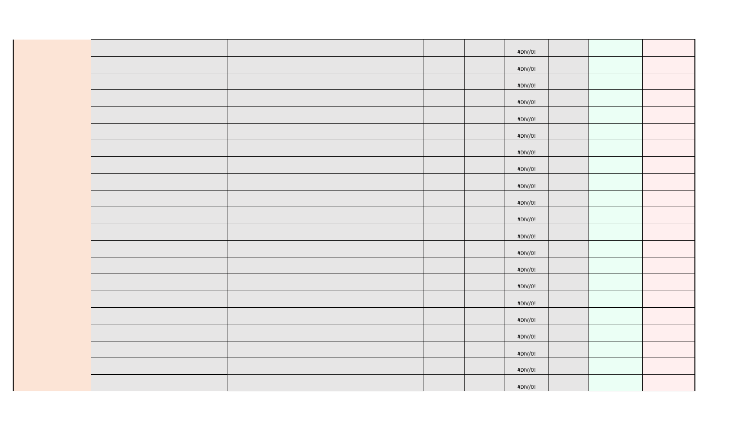|  |  | #DIV/0! |  |  |
|--|--|---------|--|--|
|  |  |         |  |  |
|  |  | #DIV/0! |  |  |
|  |  | #DIV/0! |  |  |
|  |  |         |  |  |
|  |  | #DIV/0! |  |  |
|  |  | #DIV/0! |  |  |
|  |  |         |  |  |
|  |  | #DIV/0! |  |  |
|  |  | #DIV/0! |  |  |
|  |  |         |  |  |
|  |  | #DIV/0! |  |  |
|  |  | #DIV/0! |  |  |
|  |  |         |  |  |
|  |  | #DIV/0! |  |  |
|  |  | #DIV/0! |  |  |
|  |  |         |  |  |
|  |  | #DIV/0! |  |  |
|  |  | #DIV/0! |  |  |
|  |  |         |  |  |
|  |  | #DIV/0! |  |  |
|  |  | #DIV/0! |  |  |
|  |  |         |  |  |
|  |  | #DIV/0! |  |  |
|  |  | #DIV/0! |  |  |
|  |  | #DIV/0! |  |  |
|  |  |         |  |  |
|  |  | #DIV/0! |  |  |
|  |  | #DIV/0! |  |  |
|  |  |         |  |  |
|  |  | #DIV/0! |  |  |